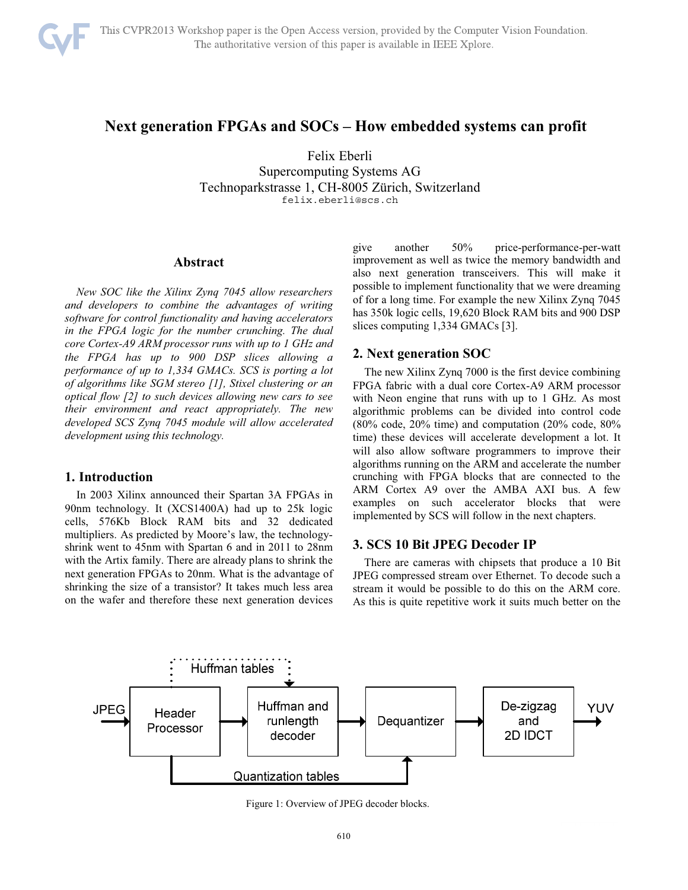

# **Next generation FPGAs and SOCs – How embedded systems can profit**

Felix Eberli

Supercomputing Systems AG Technoparkstrasse 1, CH-8005 Zürich, Switzerland felix.eberli@scs.ch

#### **Abstract**

*New SOC like the Xilinx Zynq 7045 allow researchers and developers to combine the advantages of writing software for control functionality and having accelerators in the FPGA logic for the number crunching. The dual core Cortex-A9 ARM processor runs with up to 1 GHz and the FPGA has up to 900 DSP slices allowing a performance of up to 1,334 GMACs. SCS is porting a lot of algorithms like SGM stereo [1], Stixel clustering or an optical flow [2] to such devices allowing new cars to see their environment and react appropriately. The new developed SCS Zynq 7045 module will allow accelerated development using this technology.* 

#### **1. Introduction**

In 2003 Xilinx announced their Spartan 3A FPGAs in 90nm technology. It (XCS1400A) had up to 25k logic cells, 576Kb Block RAM bits and 32 dedicated multipliers. As predicted by Moore's law, the technologyshrink went to 45nm with Spartan 6 and in 2011 to 28nm with the Artix family. There are already plans to shrink the next generation FPGAs to 20nm. What is the advantage of shrinking the size of a transistor? It takes much less area on the wafer and therefore these next generation devices give another 50% price-performance-per-watt improvement as well as twice the memory bandwidth and also next generation transceivers. This will make it possible to implement functionality that we were dreaming of for a long time. For example the new Xilinx Zynq 7045 has 350k logic cells, 19,620 Block RAM bits and 900 DSP slices computing 1,334 GMACs [3].

#### **2. Next generation SOC**

The new Xilinx Zynq 7000 is the first device combining FPGA fabric with a dual core Cortex-A9 ARM processor with Neon engine that runs with up to 1 GHz. As most algorithmic problems can be divided into control code (80% code, 20% time) and computation (20% code, 80% time) these devices will accelerate development a lot. It will also allow software programmers to improve their algorithms running on the ARM and accelerate the number crunching with FPGA blocks that are connected to the ARM Cortex A9 over the AMBA AXI bus. A few examples on such accelerator blocks that were implemented by SCS will follow in the next chapters.

# **3. SCS 10 Bit JPEG Decoder IP**

 There are cameras with chipsets that produce a 10 Bit JPEG compressed stream over Ethernet. To decode such a stream it would be possible to do this on the ARM core. As this is quite repetitive work it suits much better on the



Figure 1: Overview of JPEG decoder blocks.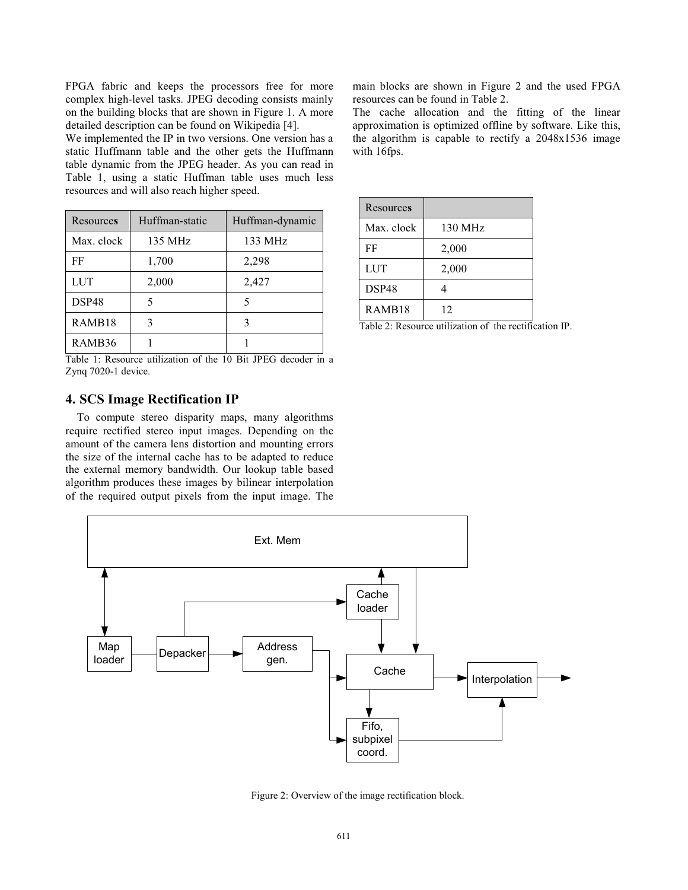FPGA fabric and keeps the processors free for more complex high-level tasks. JPEG decoding consists mainly on the building blocks that are shown in Figure 1. A more detailed description can be found on Wikipedia [4].

We implemented the IP in two versions. One version has a static Huffmann table and the other gets the Huffmann table dynamic from the JPEG header. As you can read in Table 1, using a static Huffman table uses much less resources and will also reach higher speed.

| Resources          | Huffman-static | Huffman-dynamic |
|--------------------|----------------|-----------------|
| Max. clock         | 135 MHz        | 133 MHz         |
| FF                 | 1,700          | 2,298           |
| <b>LUT</b>         | 2,000          | 2,427           |
| DSP48              | 5              | 5               |
| RAMB <sub>18</sub> | 3              | 3               |
| RAMB36             |                |                 |

Table 1: Resource utilization of the 10 Bit JPEG decoder in a Zynq 7020-1 device.

### **4. SCS Image Rectification IP**

To compute stereo disparity maps, many algorithms require rectified stereo input images. Depending on the amount of the camera lens distortion and mounting errors the size of the internal cache has to be adapted to reduce the external memory bandwidth. Our lookup table based algorithm produces these images by bilinear interpolation of the required output pixels from the input image. The main blocks are shown in Figure 2 and the used FPGA resources can be found in Table 2.

The cache allocation and the fitting of the linear approximation is optimized offline by software. Like this, the algorithm is capable to rectify a 2048x1536 image with 16fps.

| Resources          |         |
|--------------------|---------|
| Max. clock         | 130 MHz |
| FF                 | 2,000   |
| <b>LUT</b>         | 2,000   |
| DSP48              |         |
| RAMB <sub>18</sub> | 12      |

Table 2: Resource utilization of the rectification IP.



Figure 2: Overview of the image rectification block.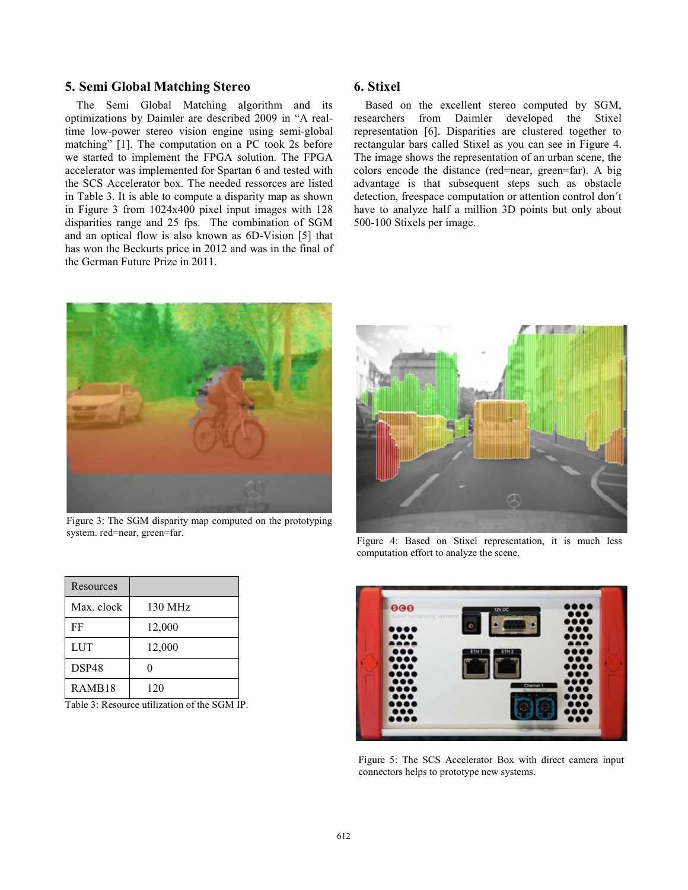### **5. Semi Global Matching Stereo**

The Semi Global Matching algorithm and its optimizations by Daimler are described 2009 in "A realtime low-power stereo vision engine using semi-global matching" [1]. The computation on a PC took 2s before we started to implement the FPGA solution. The FPGA accelerator was implemented for Spartan 6 and tested with the SCS Accelerator box. The needed ressorces are listed in Table 3. It is able to compute a disparity map as shown in Figure 3 from 1024x400 pixel input images with 128 disparities range and 25 fps. The combination of SGM and an optical flow is also known as 6D-Vision [5] that has won the Beckurts price in 2012 and was in the final of the German Future Prize in 2011.

### **6. Stixel**

Based on the excellent stereo computed by SGM, researchers from Daimler developed the Stixel representation [6]. Disparities are clustered together to rectangular bars called Stixel as you can see in Figure 4. The image shows the representation of an urban scene, the colors encode the distance (red=near, green=far). A big advantage is that subsequent steps such as obstacle detection, freespace computation or attention control don´t have to analyze half a million 3D points but only about 500-100 Stixels per image.



Figure 3: The SGM disparity map computed on the prototyping system. red=near, green=far.



Figure 4: Based on Stixel representation, it is much less computation effort to analyze the scene.

| 000                                                        | super computing systems: | 12V OC              | $0000$<br>$\bullet\bullet\bullet$                                                           |  |
|------------------------------------------------------------|--------------------------|---------------------|---------------------------------------------------------------------------------------------|--|
| 0000<br>$\bullet\bullet\bullet$                            |                          |                     | $\bullet\bullet\bullet\bullet$<br>$\bullet\bullet\bullet$<br>$\bullet\bullet\bullet\bullet$ |  |
| <b>AAAA</b><br>$\bullet\bullet\bullet$<br>0000             | ETH <sub>5</sub>         | ETH <sub>2</sub>    | 888<br>$\bullet\bullet\bullet\bullet$<br>$\bullet\bullet\bullet$                            |  |
| $\bullet\bullet\bullet$<br>0000<br>$\bullet\bullet\bullet$ |                          |                     | $\bullet\bullet\bullet\bullet$<br>$\bullet\bullet\bullet$<br>$\bullet\bullet\bullet\bullet$ |  |
| 0000<br>$\bullet\bullet\bullet$                            |                          | Channel 1<br>ALC: U | $\bullet\bullet\bullet$<br>$-0.01$<br>0000                                                  |  |
| 0000<br>$\bullet\bullet\bullet$<br>                        |                          |                     | $\bullet\bullet\bullet$<br>0000<br>$\bullet\bullet\bullet$                                  |  |

Figure 5: The SCS Accelerator Box with direct camera input connectors helps to prototype new systems.

| Resources          |         |
|--------------------|---------|
| Max. clock         | 130 MHz |
| FF                 | 12,000  |
| <b>LUT</b>         | 12,000  |
| DSP48              |         |
| RAMB <sub>18</sub> | 120     |

Table 3: Resource utilization of the SGM IP.